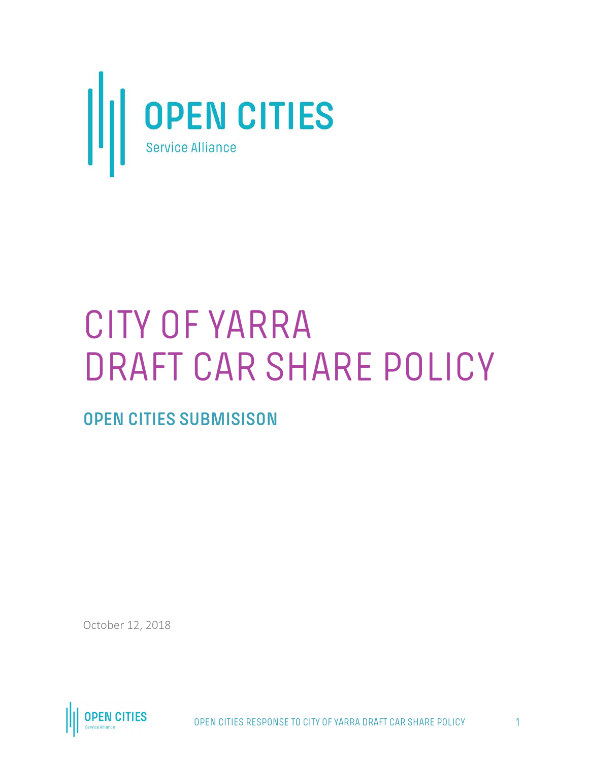

# CITY OF YARRA DRAFT CAR SHARE POLICY

**OPEN CITIES SUBMISISON**

October 12, 2018



OPEN CITIES RESPONSE TO CITY OF YARRA DRAFT CAR SHARE POLICY 1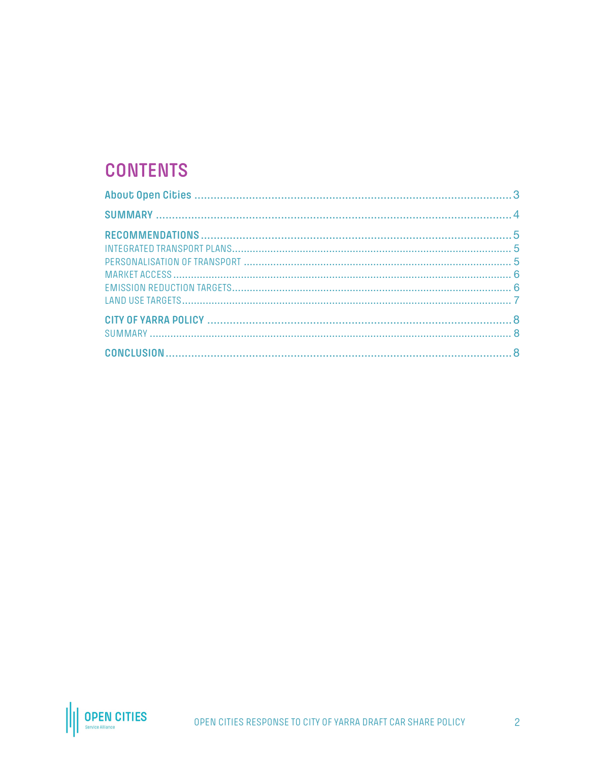# **CONTENTS**

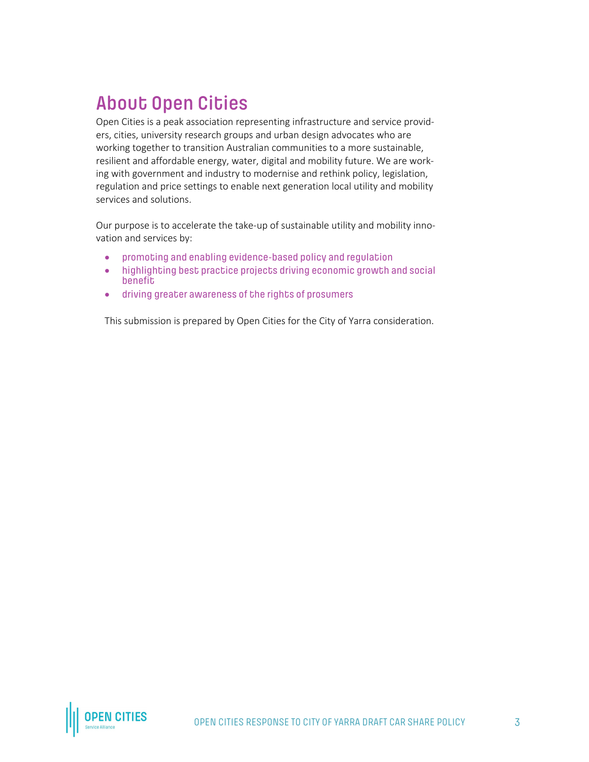# **About Open Cities**

Open Cities is a peak association representing infrastructure and service providers, cities, university research groups and urban design advocates who are working together to transition Australian communities to a more sustainable, resilient and affordable energy, water, digital and mobility future. We are working with government and industry to modernise and rethink policy, legislation, regulation and price settings to enable next generation local utility and mobility services and solutions.

Our purpose is to accelerate the take-up of sustainable utility and mobility innovation and services by:

- promoting and enabling evidence-based policy and regulation
- highlighting best practice projects driving economic growth and social benefit
- driving greater awareness of the rights of prosumers

This submission is prepared by Open Cities for the City of Yarra consideration.

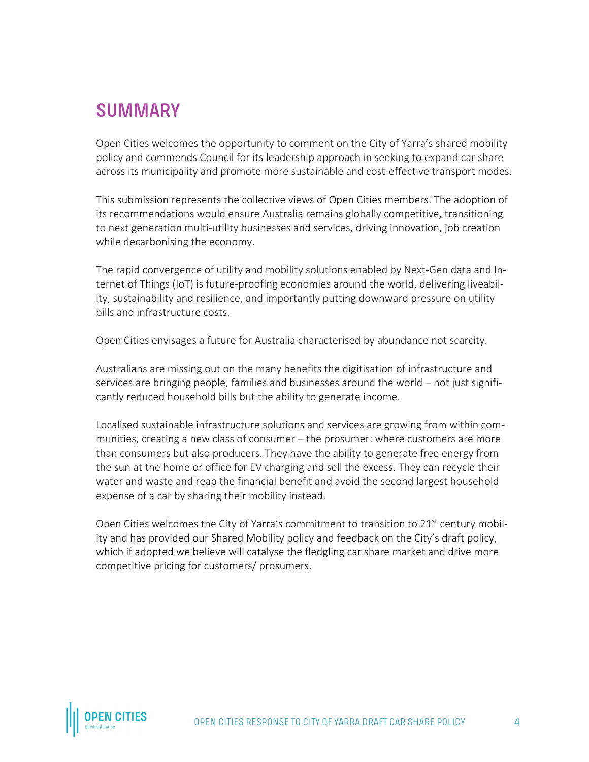# **SUMMARY**

Open Cities welcomes the opportunity to comment on the City of Yarra's shared mobility policy and commends Council for its leadership approach in seeking to expand car share across its municipality and promote more sustainable and cost-effective transport modes.

This submission represents the collective views of Open Cities members. The adoption of its recommendations would ensure Australia remains globally competitive, transitioning to next generation multi-utility businesses and services, driving innovation, job creation while decarbonising the economy.

The rapid convergence of utility and mobility solutions enabled by Next-Gen data and Internet of Things (IoT) is future-proofing economies around the world, delivering liveability, sustainability and resilience, and importantly putting downward pressure on utility bills and infrastructure costs.

Open Cities envisages a future for Australia characterised by abundance not scarcity.

Australians are missing out on the many benefits the digitisation of infrastructure and services are bringing people, families and businesses around the world – not just significantly reduced household bills but the ability to generate income.

Localised sustainable infrastructure solutions and services are growing from within communities, creating a new class of consumer – the prosumer: where customers are more than consumers but also producers. They have the ability to generate free energy from the sun at the home or office for EV charging and sell the excess. They can recycle their water and waste and reap the financial benefit and avoid the second largest household expense of a car by sharing their mobility instead.

Open Cities welcomes the City of Yarra's commitment to transition to  $21<sup>st</sup>$  century mobility and has provided our Shared Mobility policy and feedback on the City's draft policy, which if adopted we believe will catalyse the fledgling car share market and drive more competitive pricing for customers/ prosumers.

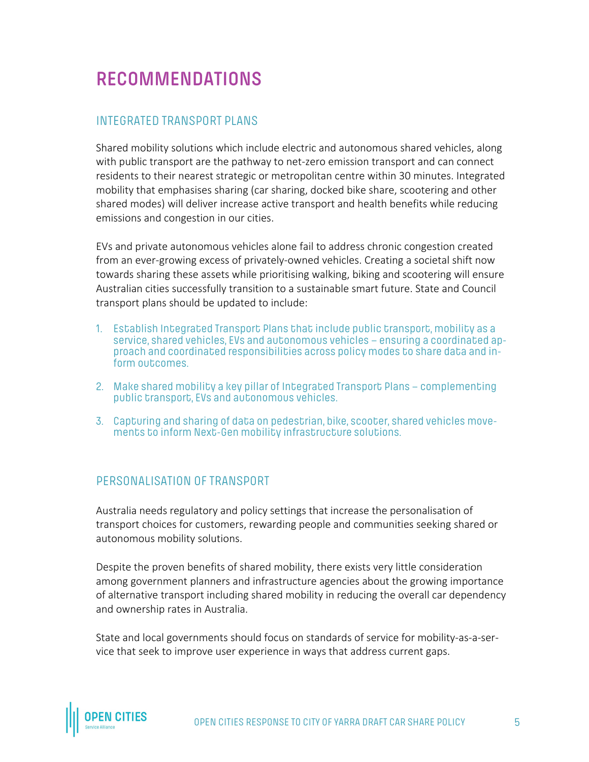# **RECOMMENDATIONS**

#### INTEGRATED TRANSPORT PLANS

Shared mobility solutions which include electric and autonomous shared vehicles, along with public transport are the pathway to net-zero emission transport and can connect residents to their nearest strategic or metropolitan centre within 30 minutes. Integrated mobility that emphasises sharing (car sharing, docked bike share, scootering and other shared modes) will deliver increase active transport and health benefits while reducing emissions and congestion in our cities.

EVs and private autonomous vehicles alone fail to address chronic congestion created from an ever-growing excess of privately-owned vehicles. Creating a societal shift now towards sharing these assets while prioritising walking, biking and scootering will ensure Australian cities successfully transition to a sustainable smart future. State and Council transport plans should be updated to include:

- 1. Establish Integrated Transport Plans that include public transport, mobility as a service, shared vehicles, EVs and autonomous vehicles – ensuring a coordinated approach and coordinated responsibilities across policy modes to share data and inform outcomes.
- 2. Make shared mobility a key pillar of Integrated Transport Plans complementing public transport, EVs and autonomous vehicles.
- 3. Capturing and sharing of data on pedestrian, bike, scooter, shared vehicles movements to inform Next-Gen mobility infrastructure solutions.

#### PERSONALISATION OF TRANSPORT

Australia needs regulatory and policy settings that increase the personalisation of transport choices for customers, rewarding people and communities seeking shared or autonomous mobility solutions.

Despite the proven benefits of shared mobility, there exists very little consideration among government planners and infrastructure agencies about the growing importance of alternative transport including shared mobility in reducing the overall car dependency and ownership rates in Australia.

State and local governments should focus on standards of service for mobility-as-a-service that seek to improve user experience in ways that address current gaps.

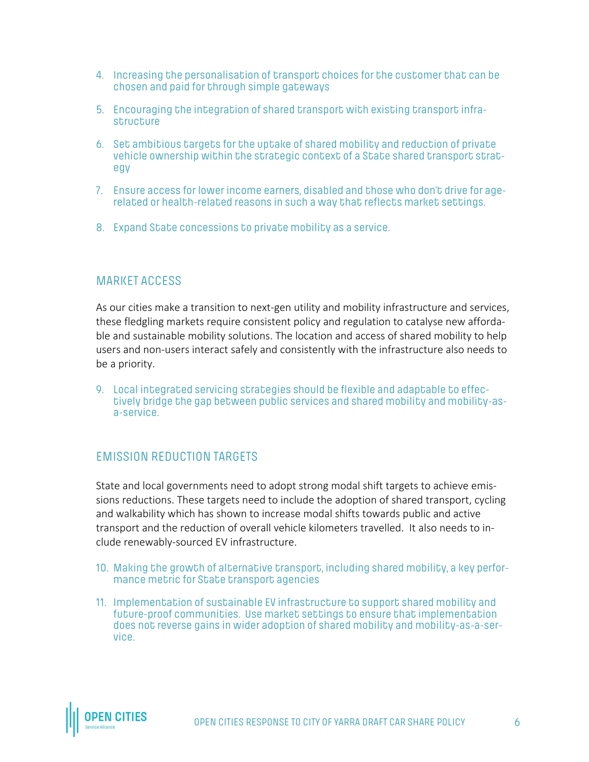- 4. Increasing the personalisation of transport choices for the customer that can be chosen and paid for through simple gateways
- 5. Encouraging the integration of shared transport with existing transport infrastructure
- 6. Set ambitious targets for the uptake of shared mobility and reduction of private vehicle ownership within the strategic context of a State shared transport strategy
- 7. Ensure access for lower income earners, disabled and those who don't drive for agerelated or health-related reasons in such a way that reflects market settings.
- 8. Expand State concessions to private mobility as a service.

#### MARKET ACCESS

As our cities make a transition to next-gen utility and mobility infrastructure and services, these fledgling markets require consistent policy and regulation to catalyse new affordable and sustainable mobility solutions. The location and access of shared mobility to help users and non-users interact safely and consistently with the infrastructure also needs to be a priority.

9. Local integrated servicing strategies should be flexible and adaptable to effectively bridge the gap between public services and shared mobility and mobility-asa-service.

#### EMISSION REDUCTION TARGETS

State and local governments need to adopt strong modal shift targets to achieve emissions reductions. These targets need to include the adoption of shared transport, cycling and walkability which has shown to increase modal shifts towards public and active transport and the reduction of overall vehicle kilometers travelled. It also needs to include renewably-sourced EV infrastructure.

- 10. Making the growth of alternative transport, including shared mobility, a key performance metric for State transport agencies
- 11. Implementation of sustainable EV infrastructure to support shared mobility and future-proof communities. Use market settings to ensure that implementation does not reverse gains in wider adoption of shared mobility and mobility-as-a-service.

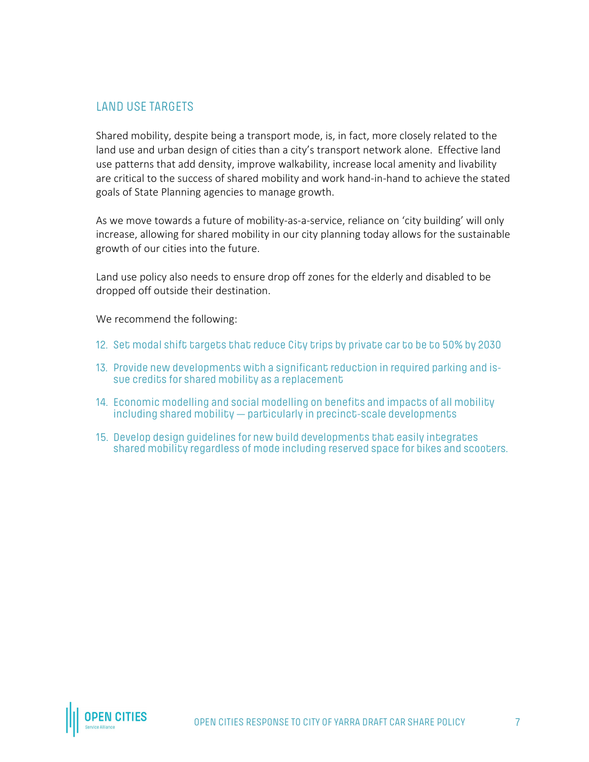#### LAND USE TARGETS

Shared mobility, despite being a transport mode, is, in fact, more closely related to the land use and urban design of cities than a city's transport network alone. Effective land use patterns that add density, improve walkability, increase local amenity and livability are critical to the success of shared mobility and work hand-in-hand to achieve the stated goals of State Planning agencies to manage growth.

As we move towards a future of mobility-as-a-service, reliance on 'city building' will only increase, allowing for shared mobility in our city planning today allows for the sustainable growth of our cities into the future.

Land use policy also needs to ensure drop off zones for the elderly and disabled to be dropped off outside their destination.

We recommend the following:

- 12. Set modal shift targets that reduce City trips by private car to be to 50% by 2030
- 13. Provide new developments with a significant reduction in required parking and issue credits for shared mobility as a replacement
- 14. Economic modelling and social modelling on benefits and impacts of all mobility including shared mobility — particularly in precinct-scale developments
- 15. Develop design guidelines for new build developments that easily integrates shared mobility regardless of mode including reserved space for bikes and scooters.

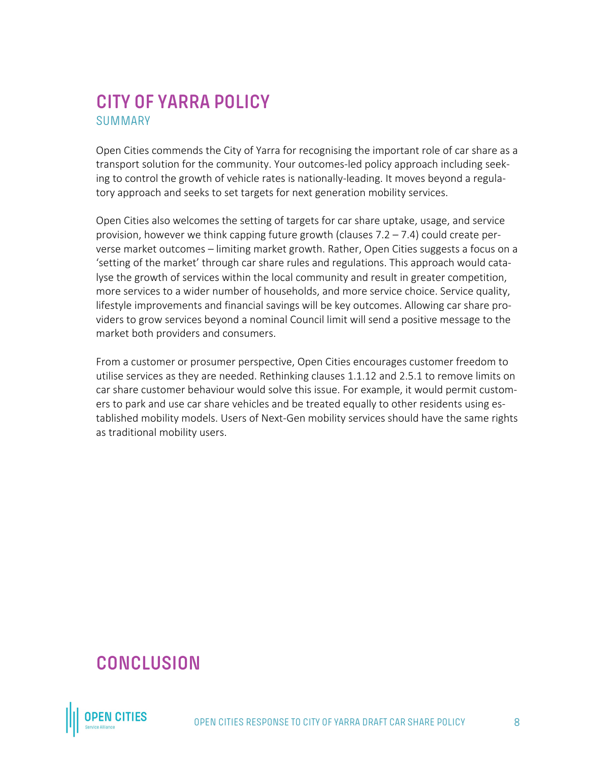### **CITY OF YARRA POLICY** SUMMARY

Open Cities commends the City of Yarra for recognising the important role of car share as a transport solution for the community. Your outcomes-led policy approach including seeking to control the growth of vehicle rates is nationally-leading. It moves beyond a regulatory approach and seeks to set targets for next generation mobility services.

Open Cities also welcomes the setting of targets for car share uptake, usage, and service provision, however we think capping future growth (clauses 7.2 – 7.4) could create perverse market outcomes – limiting market growth. Rather, Open Cities suggests a focus on a 'setting of the market' through car share rules and regulations. This approach would catalyse the growth of services within the local community and result in greater competition, more services to a wider number of households, and more service choice. Service quality, lifestyle improvements and financial savings will be key outcomes. Allowing car share providers to grow services beyond a nominal Council limit will send a positive message to the market both providers and consumers.

From a customer or prosumer perspective, Open Cities encourages customer freedom to utilise services as they are needed. Rethinking clauses 1.1.12 and 2.5.1 to remove limits on car share customer behaviour would solve this issue. For example, it would permit customers to park and use car share vehicles and be treated equally to other residents using established mobility models. Users of Next-Gen mobility services should have the same rights as traditional mobility users.

# **CONCLUSION**